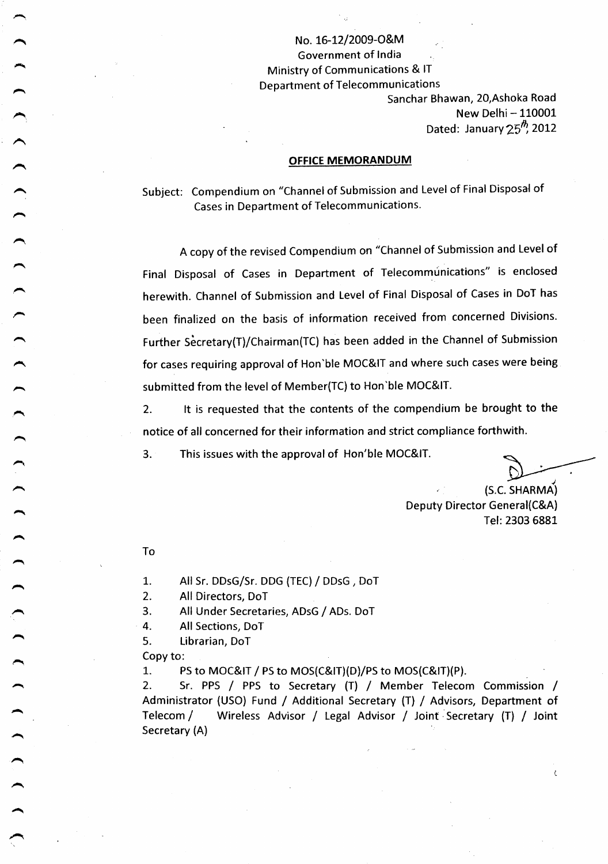No. 16-12l2009-O&M Government of India Ministry of Communications & IT Department of Telecommunications

Sanchar Bhawan, 2O,Ashoka Road New Delhi - 110001 Dated: January  $25^{th}$ , 2012

#### OFFICE MEMORANDUM

Subject: Compendium on "Channel of Submission and Level of Final Disposal of Cases in Department of Telecommunications'

<sup>A</sup>copy of the revised Compendium on "Channel of Submission and Level of Final Disposal of Cases in Department of Telecommunications" is enclosed herewith. Channel of Submission and Level of Final Disposal of Cases in DoT has been finalized on the basis of information received from concerned Divisions. Further Secretary(T)/Chairman(TC) has been added in the Channel of Submission for cases requiring approval of Hon'ble MOC&IT and where such cases were being submitted from the level of Member(TC) to Hon'ble MOC&IT.

2. lt is requested that the contents of the compendium be brought to the notice of all concerned for their information and strict compliance forthwith.

3. This issues with the approval of Hon'ble MOC&IT.

(S.C. SHARMA)

ŧ

Deputy Director General(C&A) Tel: 2303 6881

To

L. All Sr. DDsG/Sr. DDG (TEC) / DDsG , DoT

2. All Directors, DoT

3. All Under Secretaries, ADsG / ADs. DoT

4. All Sections, DoT

5. Librarian, DoT

Copy to:

,

 $\begin{array}{c} 1 & 1 & 1 \\ 1 & 1 & 1 \end{array}$ 

 $\bigg)$ 

 $\overline{\phantom{0}}$ 

 $\begin{pmatrix} 1 \\ 1 \end{pmatrix}$ 

 $\rightarrow$ 

 $\begin{array}{c} 1 & 1 \\ 1 & 1 \end{array}$ 

 $\begin{array}{c} 1 & 1 & 1 \\ 1 & 1 & 1 \end{array}$ 

1. PS to MOC&IT / PS to MOS(C&IT)(D)/PS to MOS(C&IT)(P).

2. Sr. PPS / PPS to Secretary (T) / Member Telecom Commission / Administrator (USO) Fund / Additional Secretary (T) / Advisors, Department of Telecom / Wireless Advisor / Legal Advisor / Joint Secretary (T) / Joint Secretary (A)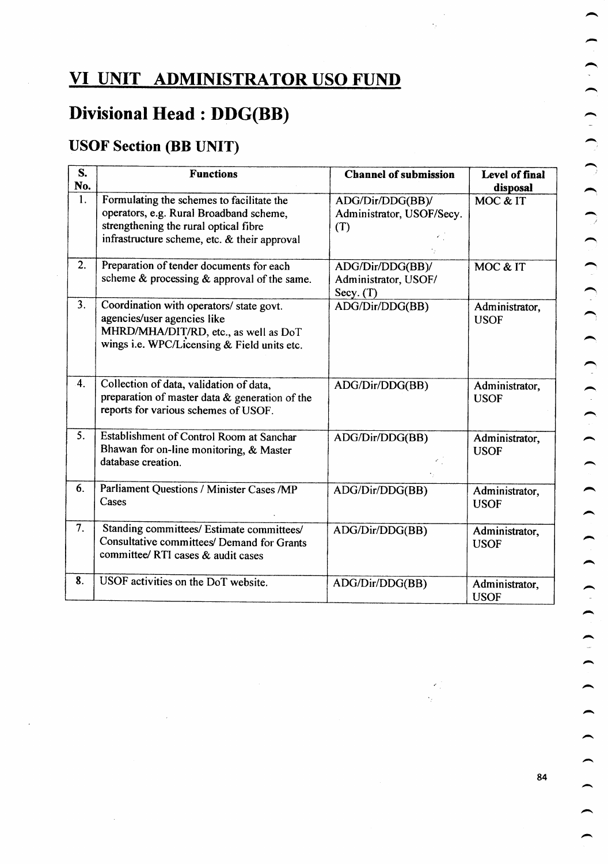### VI UNIT ADMINISTRATOR USO FUND

## Divisional Head : DDG(BB)

### USOF Section (BB UNIT)

| S.<br>No. | <b>Functions</b>                                                                                                                                                              | <b>Channel of submission</b>                            | Level of final<br>disposal    |
|-----------|-------------------------------------------------------------------------------------------------------------------------------------------------------------------------------|---------------------------------------------------------|-------------------------------|
| 1.        | Formulating the schemes to facilitate the<br>operators, e.g. Rural Broadband scheme,<br>strengthening the rural optical fibre<br>infrastructure scheme, etc. & their approval | ADG/Dir/DDG(BB)/<br>Administrator, USOF/Secy.<br>(T)    | MOC & IT                      |
| 2.        | Preparation of tender documents for each<br>scheme & processing & approval of the same.                                                                                       | ADG/Dir/DDG(BB)/<br>Administrator, USOF/<br>Secy. $(T)$ | MOC & IT                      |
| 3.        | Coordination with operators/ state govt.<br>agencies/user agencies like<br>MHRD/MHA/DIT/RD, etc., as well as DoT<br>wings i.e. WPC/Licensing & Field units etc.               | ADG/Dir/DDG(BB)                                         | Administrator,<br><b>USOF</b> |
| 4.        | Collection of data, validation of data,<br>preparation of master data & generation of the<br>reports for various schemes of USOF.                                             | ADG/Dir/DDG(BB)                                         | Administrator,<br><b>USOF</b> |
| 5.        | Establishment of Control Room at Sanchar<br>Bhawan for on-line monitoring, & Master<br>database creation.                                                                     | ADG/Dir/DDG(BB)                                         | Administrator,<br><b>USOF</b> |
| 6.        | Parliament Questions / Minister Cases /MP<br>Cases                                                                                                                            | ADG/Dir/DDG(BB)                                         | Administrator,<br><b>USOF</b> |
| 7.        | Standing committees/ Estimate committees/<br>Consultative committees/ Demand for Grants<br>committee/ RTI cases & audit cases                                                 | ADG/Dir/DDG(BB)                                         | Administrator,<br><b>USOF</b> |
| 8.        | USOF activities on the DoT website.                                                                                                                                           | ADG/Dir/DDG(BB)                                         | Administrator,<br><b>USOF</b> |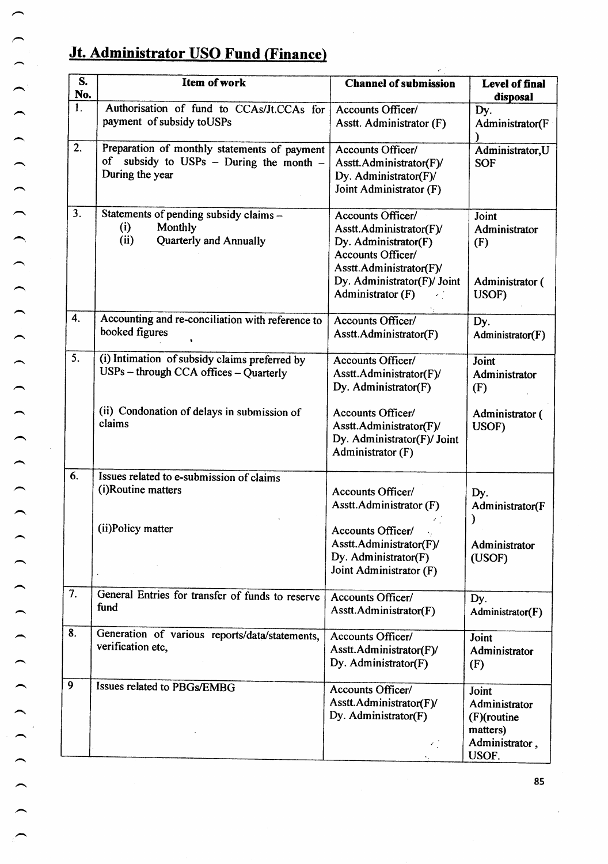### Jt. Administrator USO Fund (Finance)

| S.<br>No.        | Item of work                                                                                               | <b>Channel of submission</b>                                                                                                                                             | Level of final<br>disposal                                                      |
|------------------|------------------------------------------------------------------------------------------------------------|--------------------------------------------------------------------------------------------------------------------------------------------------------------------------|---------------------------------------------------------------------------------|
| $\overline{1}$ . | Authorisation of fund to CCAs/Jt.CCAs for<br>payment of subsidy to USPs                                    | Accounts Officer/<br>Asstt. Administrator (F)                                                                                                                            | Dy.<br>Administrator(F                                                          |
| 2.               | Preparation of monthly statements of payment<br>of subsidy to USPs - During the month -<br>During the year | Accounts Officer/<br>Asstt.Administrator(F)/<br>Dy. Administrator(F)/<br>Joint Administrator (F)                                                                         | Administrator, U<br><b>SOF</b>                                                  |
| 3.               | Statements of pending subsidy claims -<br>(i)<br>Monthly<br>(ii)<br><b>Quarterly and Annually</b>          | Accounts Officer/<br>Asstt.Administrator(F)/<br>Dy. Administrator(F)<br>Accounts Officer/<br>Asstt.Administrator(F)/<br>Dy. Administrator(F)/ Joint<br>Administrator (F) | Joint<br>Administrator<br>(F)<br>Administrator (<br>USOF)                       |
| 4.               | Accounting and re-conciliation with reference to<br>booked figures                                         | Accounts Officer/<br>Asstt.Administrator(F)                                                                                                                              | Dy.<br>Administrator(F)                                                         |
| $\overline{5}$ . | (i) Intimation of subsidy claims preferred by<br>USPs - through CCA offices - Quarterly                    | Accounts Officer/<br>Asstt.Administrator(F)/<br>Dy. Administrator(F)                                                                                                     | Joint<br>Administrator<br>(F)                                                   |
|                  | (ii) Condonation of delays in submission of<br>claims                                                      | Accounts Officer/<br>Asstt.Administrator(F)/<br>Dy. Administrator(F)/ Joint<br>Administrator (F)                                                                         | Administrator (<br>USOF)                                                        |
| 6.               | Issues related to e-submission of claims<br>(i)Routine matters                                             | Accounts Officer/<br>Asstt.Administrator (F)                                                                                                                             | Dy.<br>Administrator(F                                                          |
|                  | (ii)Policy matter                                                                                          | <b>Accounts Officer/</b><br>Asstt.Administrator(F)/<br>Dy. Administrator(F)<br>Joint Administrator (F)                                                                   | Administrator<br>(USOF)                                                         |
| 7.               | General Entries for transfer of funds to reserve<br>fund                                                   | Accounts Officer/<br>Asstt.Administrator(F)                                                                                                                              | Dy.<br>Administrator(F)                                                         |
| 8.               | Generation of various reports/data/statements,<br>verification etc,                                        | Accounts Officer/<br>Asstt.Administrator(F)/<br>Dy. Administrator(F)                                                                                                     | Joint<br>Administrator<br>(F)                                                   |
| 9                | Issues related to PBGs/EMBG                                                                                | Accounts Officer/<br>Asstt.Administrator(F)/<br>Dy. Administrator(F)<br>k,                                                                                               | Joint<br>Administrator<br>$(F)($ routine<br>matters)<br>Administrator,<br>USOF. |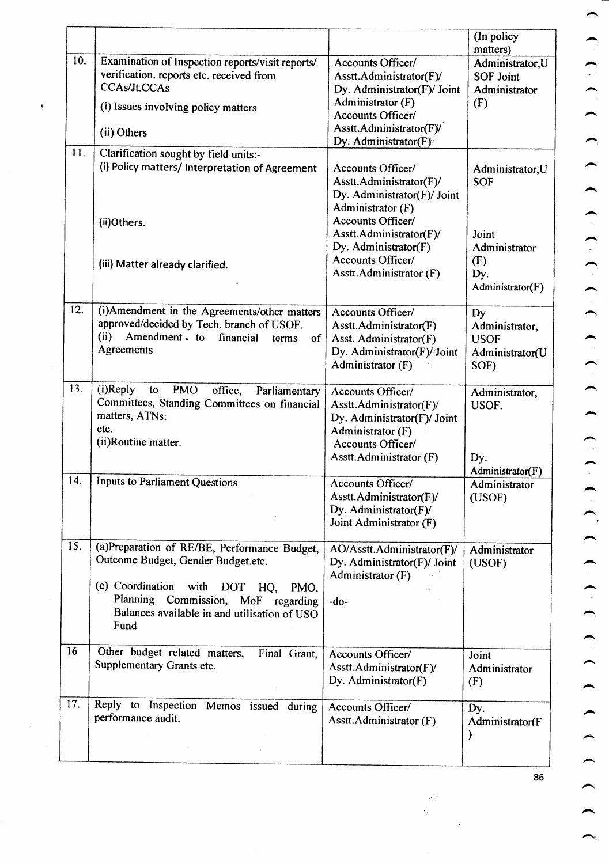|     |                                                                                                                                                                                                                                    |                                                                                                                                                  | (In policy                                                               |
|-----|------------------------------------------------------------------------------------------------------------------------------------------------------------------------------------------------------------------------------------|--------------------------------------------------------------------------------------------------------------------------------------------------|--------------------------------------------------------------------------|
| 10. | Examination of Inspection reports/visit reports/<br>verification. reports etc. received from<br><b>CCAs/Jt.CCAs</b><br>(i) Issues involving policy matters<br>(ii) Others                                                          | Accounts Officer/<br>Asstt.Administrator(F)/<br>Dy. Administrator(F)/ Joint<br>Administrator (F)<br>Accounts Officer/<br>Asstt.Administrator(F)/ | matters)<br>Administrator, U<br><b>SOF Joint</b><br>Administrator<br>(F) |
|     |                                                                                                                                                                                                                                    | Dy. Administrator(F)                                                                                                                             |                                                                          |
| 11. | Clarification sought by field units:-<br>(i) Policy matters/ Interpretation of Agreement<br>(ii)Others.                                                                                                                            | Accounts Officer/<br>Asstt.Administrator(F)/<br>Dy. Administrator(F)/ Joint<br>Administrator (F)<br>Accounts Officer/                            | Administrator, U<br><b>SOF</b>                                           |
|     | (iii) Matter already clarified.                                                                                                                                                                                                    | Asstt.Administrator(F)/<br>Dy. Administrator(F)<br>Accounts Officer/<br>Asstt.Administrator (F)                                                  | Joint<br>Administrator<br>(F)<br>Dy.<br>Administrator(F)                 |
| 12. | (i) Amendment in the Agreements/other matters<br>approved/decided by Tech. branch of USOF.<br>(ii)<br>Amendment to financial<br>$% \left( \left( \mathcal{A},\mathcal{A}\right) \right)$ of<br>terms<br>Agreements                 | Accounts Officer/<br>Asstt.Administrator(F)<br>Asst. Administrator(F)<br>Dy. Administrator(F)/Joint<br>Administrator (F)                         | Dy<br>Administrator,<br><b>USOF</b><br>Administrator(U<br>SOF)           |
| 13. | (i)Reply<br><b>PMO</b><br>to<br>office,<br>Parliamentary<br>Committees, Standing Committees on financial<br>matters, ATNs:<br>etc.<br>(ii)Routine matter.                                                                          | Accounts Officer/<br>Asstt.Administrator(F)/<br>Dy. Administrator(F)/ Joint<br>Administrator (F)<br>Accounts Officer/<br>Asstt.Administrator (F) | Administrator,<br>USOF.<br>Dy.<br>Administrator(F)                       |
| 14. | <b>Inputs to Parliament Questions</b>                                                                                                                                                                                              | Accounts Officer/<br>Asstt.Administrator(F)/<br>Dy. Administrator(F)/<br>Joint Administrator (F)                                                 | Administrator<br>(USOF)                                                  |
| 15. | (a)Preparation of RE/BE, Performance Budget,<br>Outcome Budget, Gender Budget.etc.<br>(c) Coordination<br>with DOT<br>HQ,<br>PMO,<br>Planning Commission, MoF<br>regarding<br>Balances available in and utilisation of USO<br>Fund | AO/Asstt.Administrator(F)/<br>Dy. Administrator(F)/ Joint<br>Administrator (F)<br>$-do-$                                                         | Administrator<br>(USOF)                                                  |
| 16  | Other budget related matters,<br>Final Grant,<br>Supplementary Grants etc.                                                                                                                                                         | Accounts Officer/<br>Asstt.Administrator(F)/<br>Dy. Administrator(F)                                                                             | Joint<br>Administrator<br>(F)                                            |
| 17. | Reply to Inspection Memos issued during<br>performance audit.                                                                                                                                                                      | Accounts Officer/<br>Asstt.Administrator (F)                                                                                                     | Dy.<br>Administrator(F<br>)                                              |
|     |                                                                                                                                                                                                                                    |                                                                                                                                                  |                                                                          |

 $\overline{1}$ 

86

 $\frac{1}{2} \sum_{i=1}^{n} \frac{1}{2} \left( \frac{1}{2} \sum_{i=1}^{n} \frac{1}{2} \sum_{i=1}^{n} \frac{1}{2} \sum_{i=1}^{n} \frac{1}{2} \sum_{i=1}^{n} \frac{1}{2} \sum_{i=1}^{n} \frac{1}{2} \sum_{i=1}^{n} \frac{1}{2} \sum_{i=1}^{n} \frac{1}{2} \sum_{i=1}^{n} \frac{1}{2} \sum_{i=1}^{n} \frac{1}{2} \sum_{i=1}^{n} \frac{1}{2} \sum_{i=1}^{n} \frac{1}{2$ l.<br>Na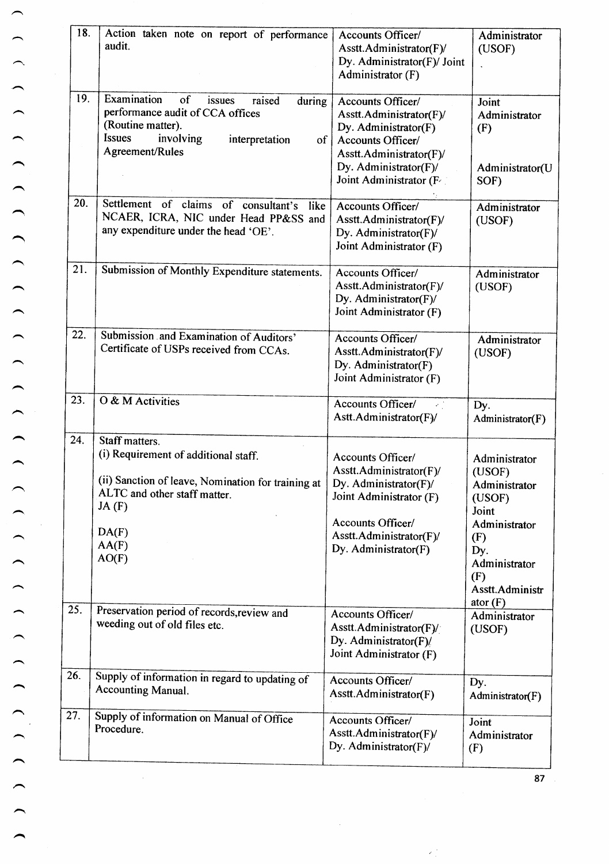| 18. | Action taken note on report of performance<br>audit.                                                                                                                                                 | Accounts Officer/<br>Asstt.Administrator(F)/<br>Dy. Administrator(F)/ Joint<br>Administrator (F)                                                                         | Administrator<br>(USOF)                                                                                                                             |
|-----|------------------------------------------------------------------------------------------------------------------------------------------------------------------------------------------------------|--------------------------------------------------------------------------------------------------------------------------------------------------------------------------|-----------------------------------------------------------------------------------------------------------------------------------------------------|
| 19. | Examination<br><sub>of</sub><br>issues<br>raised<br>during<br>performance audit of CCA offices<br>(Routine matter).<br><b>Issues</b><br>involving<br>interpretation<br>$of \vert$<br>Agreement/Rules | Accounts Officer/<br>Asstt.Administrator(F)/<br>Dy. Administrator(F)<br>Accounts Officer/<br>Asstt.Administrator(F)/<br>Dy. Administrator(F)/<br>Joint Administrator (F  | Joint<br>Administrator<br>(F)<br>Administrator(U<br>SOF)                                                                                            |
| 20. | Settlement of claims of consultant's like<br>NCAER, ICRA, NIC under Head PP&SS and<br>any expenditure under the head 'OE'.                                                                           | Accounts Officer/<br>Asstt.Administrator(F)/<br>Dy. Administrator(F)/<br>Joint Administrator (F)                                                                         | Administrator<br>(USOF)                                                                                                                             |
| 21. | Submission of Monthly Expenditure statements.                                                                                                                                                        | Accounts Officer/<br>Asstt.Administrator(F)/<br>Dy. Administrator(F)/<br>Joint Administrator (F)                                                                         | Administrator<br>(USOF)                                                                                                                             |
| 22. | Submission and Examination of Auditors'<br>Certificate of USPs received from CCAs.                                                                                                                   | Accounts Officer/<br>Asstt.Administrator(F)/<br>Dy. Administrator(F)<br>Joint Administrator (F)                                                                          | Administrator<br>(USOF)                                                                                                                             |
| 23. | O & M Activities                                                                                                                                                                                     | Accounts Officer/<br>$\mathcal{L}^{(1)}$<br>Astt.Administrator(F)/                                                                                                       | Dy.<br>Administrator $(F)$                                                                                                                          |
| 24. | Staff matters.<br>(i) Requirement of additional staff.<br>(ii) Sanction of leave, Nomination for training at<br>ALTC and other staff matter.<br>JA(F)<br>DA(F)<br>AA(F)<br>AO(F)                     | Accounts Officer/<br>Asstt.Administrator(F)/<br>Dy. Administrator(F)/<br>Joint Administrator (F)<br>Accounts Officer/<br>Asstt.Administrator(F)/<br>Dy. Administrator(F) | Administrator<br>(USOF)<br>Administrator<br>(USOF)<br>Joint<br>Administrator<br>(F)<br>Dy.<br>Administrator<br>(F)<br>Asstt.Administr<br>ator $(F)$ |
| 25. | Preservation period of records, review and<br>weeding out of old files etc.                                                                                                                          | Accounts Officer/<br>Asstt.Administrator(F)/<br>Dy. Administrator(F)/<br>Joint Administrator (F)                                                                         | Administrator<br>(USOF)                                                                                                                             |
| 26. | Supply of information in regard to updating of<br><b>Accounting Manual.</b>                                                                                                                          | Accounts Officer/<br>Asstt.Administrator(F)                                                                                                                              | Dy.<br>Administrator(F)                                                                                                                             |
| 27. | Supply of information on Manual of Office<br>Procedure.                                                                                                                                              | Accounts Officer/<br>Asstt.Administrator(F)/<br>Dy. Administrator(F)/                                                                                                    | Joint<br>Administrator<br>(F)                                                                                                                       |

 $\frac{1}{2}$ 

 $\epsilon_{\rm s}^{\rm s}$ 

 $\frac{1}{2}$ 

 $\overline{87}$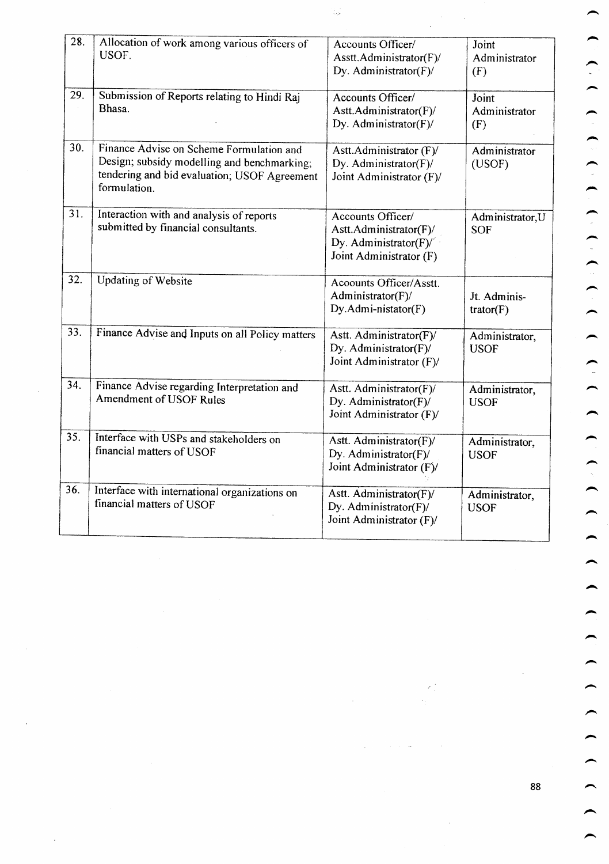| 28. | Allocation of work among various officers of<br>USOF.                                                                                                   | Accounts Officer/<br>Asstt.Administrator(F)/<br>Dy. Administrator(F)/                                        | Joint<br>Administrator<br>(F)  |
|-----|---------------------------------------------------------------------------------------------------------------------------------------------------------|--------------------------------------------------------------------------------------------------------------|--------------------------------|
| 29. | Submission of Reports relating to Hindi Raj<br>Bhasa.                                                                                                   | Accounts Officer/<br>Astt.Administrator(F)/<br>Dy. Administrator(F)/                                         | Joint<br>Administrator<br>(F)  |
| 30. | Finance Advise on Scheme Formulation and<br>Design; subsidy modelling and benchmarking;<br>tendering and bid evaluation; USOF Agreement<br>formulation. | Astt.Administrator (F)/<br>Dy. Administrator(F)/<br>Joint Administrator (F)/                                 | Administrator<br>(USOF)        |
| 31. | Interaction with and analysis of reports<br>submitted by financial consultants.                                                                         | Accounts Officer/<br>Astt.Administrator(F)/<br>Dy. Administrator(F) $\frac{1}{2}$<br>Joint Administrator (F) | Administrator, U<br><b>SOF</b> |
| 32. | <b>Updating of Website</b>                                                                                                                              | Acoounts Officer/Asstt.<br>Administrator(F)/<br>Dy.Admi-nistator(F)                                          | Jt. Adminis-<br>trator(F)      |
| 33. | Finance Advise and Inputs on all Policy matters                                                                                                         | Astt. Administrator(F)/<br>Dy. Administrator(F)/<br>Joint Administrator (F)/                                 | Administrator,<br><b>USOF</b>  |
| 34. | Finance Advise regarding Interpretation and<br>Amendment of USOF Rules                                                                                  | Astt. Administrator(F)/<br>Dy. Administrator(F)/<br>Joint Administrator (F)/                                 | Administrator,<br><b>USOF</b>  |
| 35. | Interface with USPs and stakeholders on<br>financial matters of USOF                                                                                    | Astt. Administrator(F)/<br>Dy. Administrator(F)/<br>Joint Administrator (F)/                                 | Administrator,<br><b>USOF</b>  |
| 36. | Interface with international organizations on<br>financial matters of USOF                                                                              | Astt. Administrator(F)/<br>Dy. Administrator(F)/<br>Joint Administrator (F)/                                 | Administrator,<br><b>USOF</b>  |